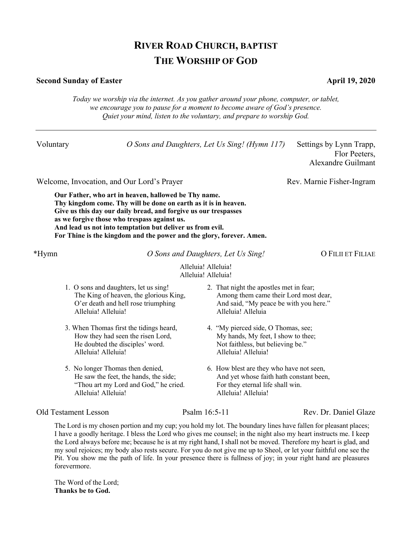# **RIVER ROAD CHURCH, BAPTIST THE WORSHIP OF GOD**

### **Second Sunday of Easter April 19, 2020**

*Today we worship via the internet. As you gather around your phone, computer, or tablet, we encourage you to pause for a moment to become aware of God's presence. Quiet your mind, listen to the voluntary, and prepare to worship God.*

Voluntary *O Sons and Daughters, Let Us Sing! (Hymn 117)* Settings by Lynn Trapp,

Welcome, Invocation, and Our Lord's Prayer Theorem 2014 Rev. Marnie Fisher-Ingram

**Our Father, who art in heaven, hallowed be Thy name. Thy kingdom come. Thy will be done on earth as it is in heaven. Give us this day our daily bread, and forgive us our trespasses as we forgive those who trespass against us. And lead us not into temptation but deliver us from evil. For Thine is the kingdom and the power and the glory, forever. Amen.**

\*Hymn *O Sons and Daughters, Let Us Sing!* O FILII ET FILIAE

Alleluia! Alleluia! Alleluia! Alleluia!

- 1. O sons and daughters, let us sing! The King of heaven, the glorious King, O'er death and hell rose triumphing Alleluia! Alleluia!
- 3. When Thomas first the tidings heard, How they had seen the risen Lord, He doubted the disciples' word. Alleluia! Alleluia!
- 5. No longer Thomas then denied, He saw the feet, the hands, the side; "Thou art my Lord and God," he cried. Alleluia! Alleluia!
- Alleluia! Alleluia! 6. How blest are they who have not seen,

Alleluia! Alleluia

And yet whose faith hath constant been, For they eternal life shall win. Alleluia! Alleluia!

Old Testament Lesson Psalm 16:5-11 Rev. Dr. Daniel Glaze

The Lord is my chosen portion and my cup; you hold my lot. The boundary lines have fallen for pleasant places; I have a goodly heritage. I bless the Lord who gives me counsel; in the night also my heart instructs me. I keep the Lord always before me; because he is at my right hand, I shall not be moved. Therefore my heart is glad, and my soul rejoices; my body also rests secure. For you do not give me up to Sheol, or let your faithful one see the Pit. You show me the path of life. In your presence there is fullness of joy; in your right hand are pleasures forevermore.

The Word of the Lord; **Thanks be to God.**

Flor Peeters,

Alexandre Guilmant

2. That night the apostles met in fear; Among them came their Lord most dear, And said, "My peace be with you here."

4. "My pierced side, O Thomas, see; My hands, My feet, I show to thee; Not faithless, but believing be."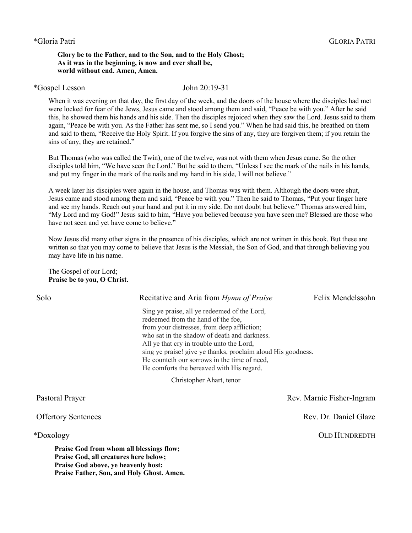### **Glory be to the Father, and to the Son, and to the Holy Ghost; As it was in the beginning, is now and ever shall be, world without end. Amen, Amen.**

#### \*Gospel Lesson John 20:19-31

When it was evening on that day, the first day of the week, and the doors of the house where the disciples had met were locked for fear of the Jews, Jesus came and stood among them and said, "Peace be with you." After he said this, he showed them his hands and his side. Then the disciples rejoiced when they saw the Lord. Jesus said to them again, "Peace be with you. As the Father has sent me, so I send you." When he had said this, he breathed on them and said to them, "Receive the Holy Spirit. If you forgive the sins of any, they are forgiven them; if you retain the sins of any, they are retained."

But Thomas (who was called the Twin), one of the twelve, was not with them when Jesus came. So the other disciples told him, "We have seen the Lord." But he said to them, "Unless I see the mark of the nails in his hands, and put my finger in the mark of the nails and my hand in his side, I will not believe."

A week later his disciples were again in the house, and Thomas was with them. Although the doors were shut, Jesus came and stood among them and said, "Peace be with you." Then he said to Thomas, "Put your finger here and see my hands. Reach out your hand and put it in my side. Do not doubt but believe." Thomas answered him, "My Lord and my God!" Jesus said to him, "Have you believed because you have seen me? Blessed are those who have not seen and yet have come to believe."

Now Jesus did many other signs in the presence of his disciples, which are not written in this book. But these are written so that you may come to believe that Jesus is the Messiah, the Son of God, and that through believing you may have life in his name.

The Gospel of our Lord; **Praise be to you, O Christ.**

| Solo                                                                                                                                                                  | Recitative and Aria from Hymn of Praise                                                                                                                                                                                                                                                                                                                                                     | Felix Mendelssohn         |
|-----------------------------------------------------------------------------------------------------------------------------------------------------------------------|---------------------------------------------------------------------------------------------------------------------------------------------------------------------------------------------------------------------------------------------------------------------------------------------------------------------------------------------------------------------------------------------|---------------------------|
|                                                                                                                                                                       | Sing ye praise, all ye redeemed of the Lord,<br>redeemed from the hand of the foe,<br>from your distresses, from deep affliction;<br>who sat in the shadow of death and darkness.<br>All ye that cry in trouble unto the Lord,<br>sing ye praise! give ye thanks, proclaim aloud His goodness.<br>He counteth our sorrows in the time of need,<br>He comforts the bereaved with His regard. |                           |
|                                                                                                                                                                       | Christopher Ahart, tenor                                                                                                                                                                                                                                                                                                                                                                    |                           |
| Pastoral Prayer                                                                                                                                                       |                                                                                                                                                                                                                                                                                                                                                                                             | Rev. Marnie Fisher-Ingram |
| <b>Offertory Sentences</b>                                                                                                                                            |                                                                                                                                                                                                                                                                                                                                                                                             | Rev. Dr. Daniel Glaze     |
| *Doxology                                                                                                                                                             |                                                                                                                                                                                                                                                                                                                                                                                             | <b>OLD HUNDREDTH</b>      |
| Praise God from whom all blessings flow;<br>Praise God, all creatures here below;<br>Praise God above, ye heavenly host:<br>Praise Father, Son, and Holy Ghost. Amen. |                                                                                                                                                                                                                                                                                                                                                                                             |                           |